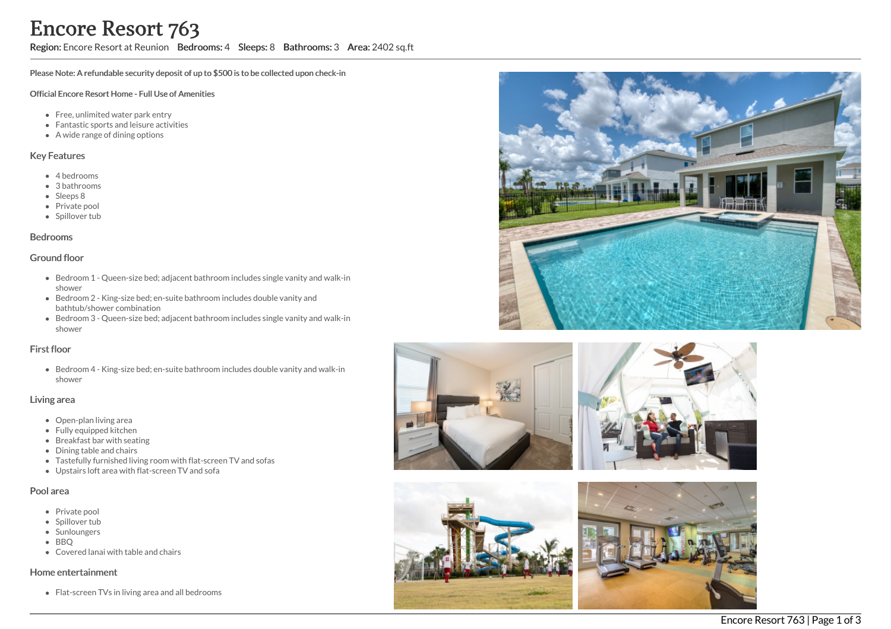## Region: Encore Resort at Reunion Bedrooms: 4 Sleeps: 8 Bathrooms: 3 Area: 2402 sq.ft

Please Note: A refundable security deposit of up to \$500 is to be collected upon check-in

#### Official Encore Resort Home - Full Use of Amenities

- Free, unlimited water park entry
- Fantastic sports and leisure activities
- A wide range of dining options

### Key Features

- 4 bedrooms
- 3 bathrooms
- Sleeps 8
- Private pool
- Spillover tub

#### Bedrooms

#### Ground floor

- Bedroom 1 Queen-size bed; adjacent bathroom includes single vanity and walk-in shower
- Bedroom 2 King-size bed; en-suite bathroom includes double vanity and bathtub/shower combination
- Bedroom 3 Queen-size bed; adjacent bathroom includes single vanity and walk-in shower

#### First floor

Bedroom 4 - King-size bed; en-suite bathroom includes double vanity and walk-in shower

### Living area

- Open-plan living area
- Fully equipped kitchen
- Breakfast bar with seating
- Dining table and chairs
- Tastefully furnished living room with flat-screen TV and sofas
- Upstairs loft area with flat-screen TV and sofa

#### Pool area

- Private pool
- Spillover tub
- Sunloungers
- BBO
- Covered lanai with table and chairs

#### Home entertainment

Flat-screen TVs in living area and all bedrooms









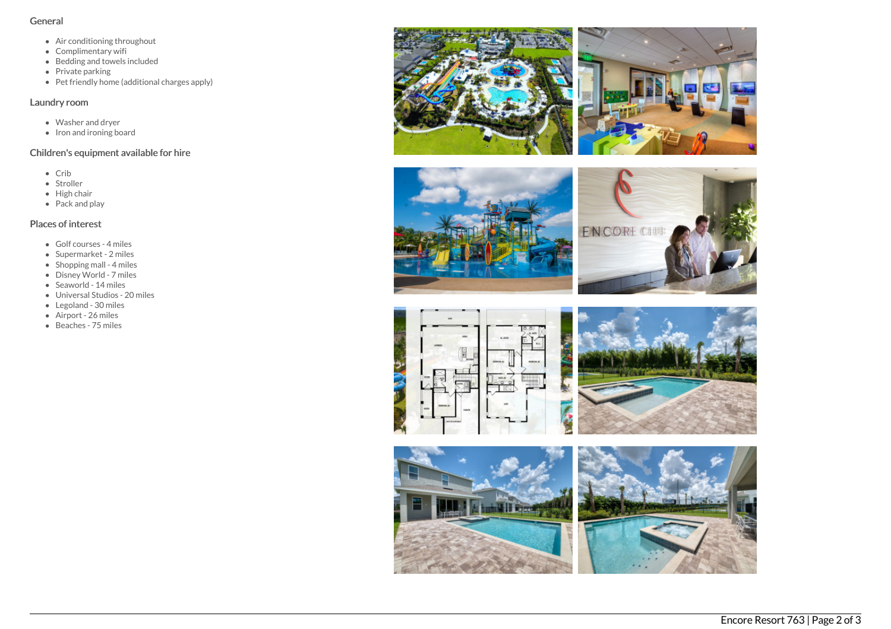## General

- Air conditioning throughout
- Complimentary wifi
- Bedding and towels included
- $\bullet$  Private parking
- Pet friendly home (additional charges apply)

## Laundry room

- Washer and dryer
- Iron and ironing board

# Children's equipment available for hire

- Crib
- Stroller
- High chair
- Pack and play

# Places of interest

- Golf courses 4 miles
- Supermarket 2 miles
- Shopping mall 4 miles
- Disney World 7 miles
- Seaworld 14 miles
- Universal Studios 20 miles
- Legoland 30 miles
- Airport 26 miles
- Beaches 75 miles